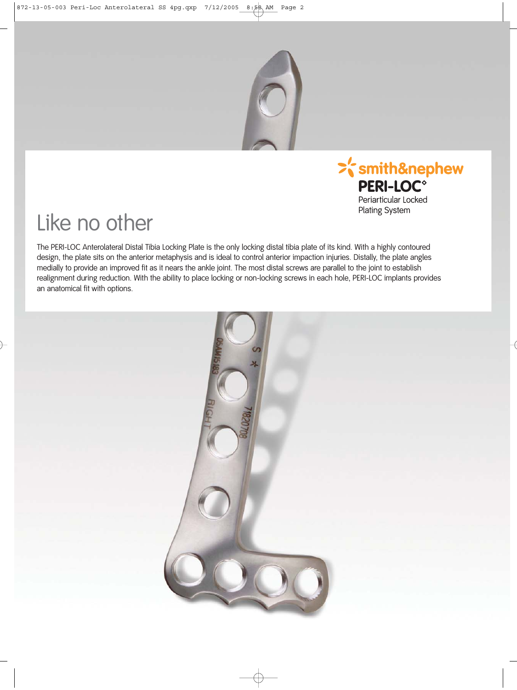



Plating System

# Like no other

The PERI-LOC Anterolateral Distal Tibia Locking Plate is the only locking distal tibia plate of its kind. With a highly contoured design, the plate sits on the anterior metaphysis and is ideal to control anterior impaction injuries. Distally, the plate angles medially to provide an improved fit as it nears the ankle joint. The most distal screws are parallel to the joint to establish realignment during reduction. With the ability to place locking or non-locking screws in each hole, PERI-LOC implants provides an anatomical fit with options.

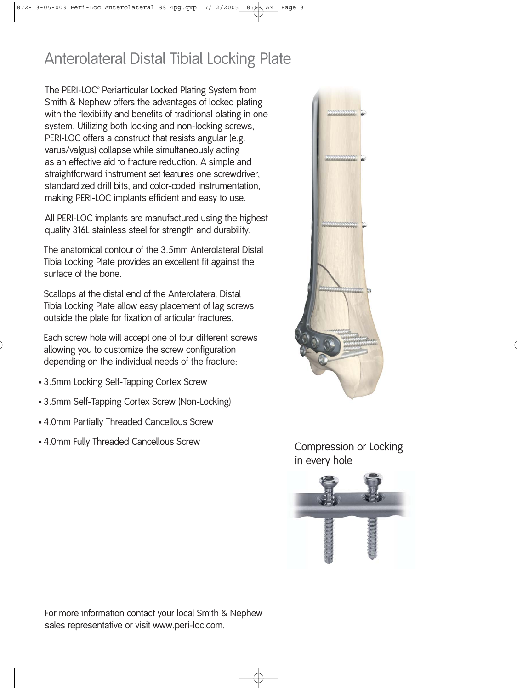## Anterolateral Distal Tibial Locking Plate

The PERI-LOC® Periarticular Locked Plating System from Smith & Nephew offers the advantages of locked plating with the flexibility and benefits of traditional plating in one system. Utilizing both locking and non-locking screws, PERI-LOC offers a construct that resists angular (e.g. varus/valgus) collapse while simultaneously acting as an effective aid to fracture reduction. A simple and straightforward instrument set features one screwdriver, standardized drill bits, and color-coded instrumentation, making PERI-LOC implants efficient and easy to use.

All PERI-LOC implants are manufactured using the highest quality 316L stainless steel for strength and durability.

The anatomical contour of the 3.5mm Anterolateral Distal Tibia Locking Plate provides an excellent fit against the surface of the bone.

Scallops at the distal end of the Anterolateral Distal Tibia Locking Plate allow easy placement of lag screws outside the plate for fixation of articular fractures.

Each screw hole will accept one of four different screws allowing you to customize the screw configuration depending on the individual needs of the fracture:

- 3.5mm Locking Self-Tapping Cortex Screw
- 3.5mm Self-Tapping Cortex Screw (Non-Locking)
- 4.0mm Partially Threaded Cancellous Screw
- 4.0mm Fully Threaded Cancellous Screw



Compression or Locking in every hole



For more information contact your local Smith & Nephew sales representative or visit www.peri-loc.com.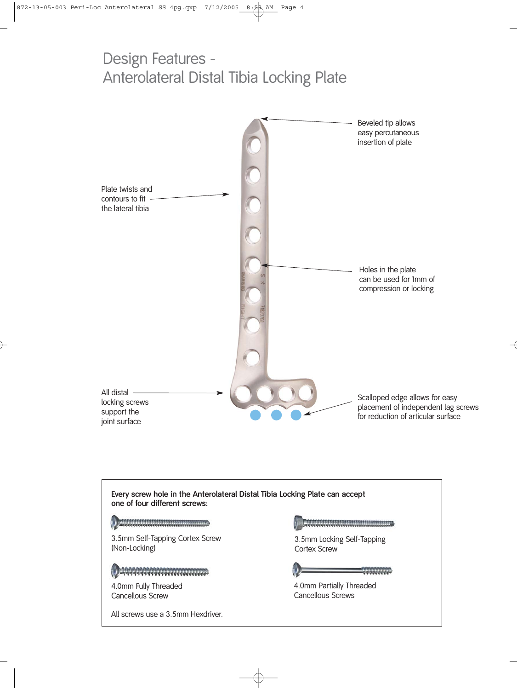### Design Features - Anterolateral Distal Tibia Locking Plate



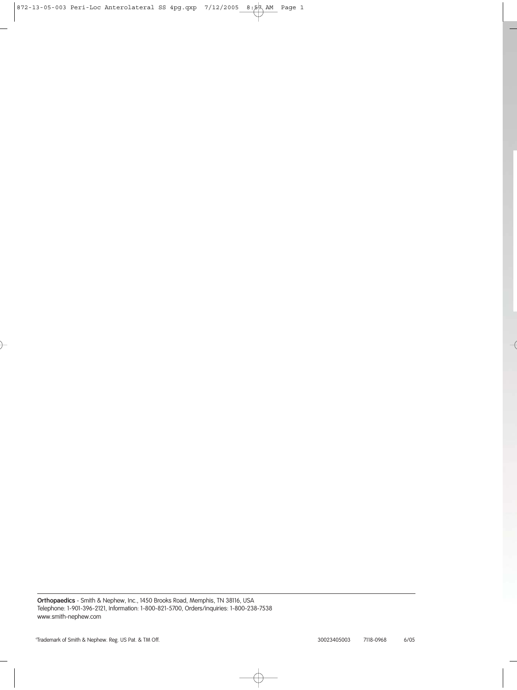**Orthopaedics** - Smith & Nephew, Inc., 1450 Brooks Road, Memphis, TN 38116, USA Telephone: 1-901-396-2121, Information: 1-800-821-5700, Orders/inquiries: 1-800-238-7538 www.smith-nephew.com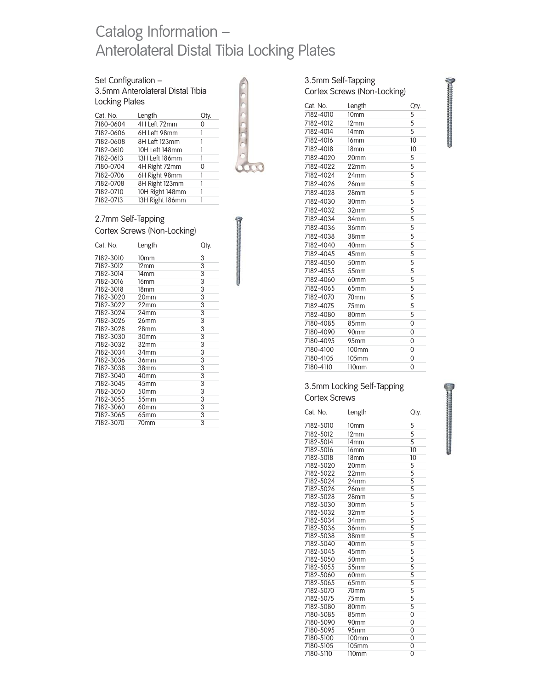### Catalog Information – Anterolateral Distal Tibia Locking Plates

### Set Configuration –

3.5mm Anterolateral Distal Tibia Locking Plates

| Cat. No.  | Length          | Qty. |
|-----------|-----------------|------|
| 7180-0604 | 4H Left 72mm    | 0    |
| 7182-0606 | 6H Left 98mm    | 1    |
| 7182-0608 | 8H Left 123mm   |      |
| 7182-0610 | 10H Left 148mm  | 1    |
| 7182-0613 | 13H Left 186mm  | 1    |
| 7180-0704 | 4H Right 72mm   | 0    |
| 7182-0706 | 6H Right 98mm   | 1    |
| 7182-0708 | 8H Right 123mm  |      |
| 7182-0710 | 10H Right 148mm | 1    |
| 7182-0713 | 13H Right 186mm |      |



#### 2.7mm Self-Tapping Cortex Screws (Non-Locking)

| Cat. No.  | Length           | Qty. |
|-----------|------------------|------|
| 7182-3010 | 10 <sub>mm</sub> | 3    |
| 7182-3012 | 12 <sub>mm</sub> | 3    |
| 7182-3014 | 14 <sub>mm</sub> | 3    |
| 7182-3016 | 16 <sub>mm</sub> | 3    |
| 7182-3018 | 18 <sub>mm</sub> | 3    |
| 7182-3020 | 20mm             | 3    |
| 7182-3022 | 22mm             | 3    |
| 7182-3024 | 24mm             | 3    |
| 7182-3026 | 26 <sub>mm</sub> | 3    |
| 7182-3028 | 28mm             | 3    |
| 7182-3030 | 30mm             | 3    |
| 7182-3032 | 32mm             | 3    |
| 7182-3034 | 34mm             | 3    |
| 7182-3036 | 36mm             | 3    |
| 7182-3038 | 38mm             | 3    |
| 7182-3040 | 40mm             | 3    |
| 7182-3045 | 45mm             | 3    |
| 7182-3050 | 50mm             | 3    |
| 7182-3055 | 55mm             | 3    |
| 7182-3060 | 60mm             | 3    |
| 7182-3065 | 65mm             | 3    |
| 7182-3070 | 70 <sub>mm</sub> | 3    |

| Cortex Screws (Non-Locking) |                   |                |  |
|-----------------------------|-------------------|----------------|--|
| Cat. No.                    | Length            | Qty.           |  |
| 7182-4010                   | 10 <sub>mm</sub>  | 5              |  |
| 7182-4012                   | 12 <sub>mm</sub>  | 5              |  |
| 7182-4014                   | 14 <sub>mm</sub>  | 5              |  |
| 7182-4016                   | 16 <sub>mm</sub>  | 10             |  |
| 7182-4018                   | 18 <sub>mm</sub>  | 10             |  |
| 7182-4020                   | 20mm              | 5              |  |
| 7182-4022                   | 22mm              | 5              |  |
| 7182-4024                   | 24mm              | 5              |  |
| 7182-4026                   | 26mm              | 5              |  |
| 7182-4028                   | 28mm              | 5              |  |
| 7182-4030                   | 30mm              | 5              |  |
| 7182-4032                   | 32mm              | 5              |  |
| 7182-4034                   | 34mm              | 5              |  |
| 7182-4036                   | 36mm              | 5              |  |
| 7182-4038                   | 38mm              | 5              |  |
| 7182-4040                   | 40mm              | 5              |  |
| 7182-4045                   | 45mm              | 5              |  |
| 7182-4050                   | 50 <sub>mm</sub>  | 5              |  |
| 7182-4055                   | 55mm              | 5              |  |
| 7182-4060                   | 60mm              | 5              |  |
| 7182-4065                   | 65mm              | 5              |  |
| 7182-4070                   | 70 <sub>mm</sub>  | 5              |  |
| 7182-4075                   | 75 <sub>mm</sub>  | 5              |  |
| 7182-4080                   | 80 <sub>mm</sub>  | 5              |  |
| 7180-4085                   | 85mm              | $\overline{0}$ |  |
| 7180-4090                   | 90 <sub>mm</sub>  | $\overline{0}$ |  |
| 7180-4095                   | 95mm              | 0              |  |
| 7180-4100                   | <b>100mm</b>      | 0              |  |
| 7180-4105                   | 105mm             | 0              |  |
| 7180-4110                   | 110 <sub>mm</sub> | 0              |  |
|                             |                   |                |  |

3.5mm Self-Tapping

#### 3.5mm Locking Self-Tapping Cortex Screws

| Cat. No.  | Length            | Qty.           |
|-----------|-------------------|----------------|
| 7182-5010 | 10 <sub>mm</sub>  | 5              |
| 7182-5012 | $12 \text{mm}$    | 5              |
| 7182-5014 | 14 <sub>mm</sub>  | 5              |
| 7182-5016 | 16 <sub>mm</sub>  | 10             |
| 7182-5018 | 18 <sub>mm</sub>  | 10             |
| 7182-5020 | 20mm              | 5              |
| 7182-5022 | 22mm              | 5              |
| 7182-5024 | 24 <sub>mm</sub>  | 5              |
| 7182-5026 | 26mm              | 5              |
| 7182-5028 | 28mm              | 5              |
| 7182-5030 | 30mm              | 5              |
| 7182-5032 | 32 <sub>mm</sub>  | 5              |
| 7182-5034 | 34mm              | 5              |
| 7182-5036 | 36 <sub>mm</sub>  | 5              |
| 7182-5038 | 38mm              | 5              |
| 7182-5040 | 40 <sub>mm</sub>  | 5              |
| 7182-5045 | 45 <sub>mm</sub>  | 5              |
| 7182-5050 | 50 <sub>mm</sub>  | 5              |
| 7182-5055 | 55 <sub>mm</sub>  | 5              |
| 7182-5060 | 60mm              | 5              |
| 7182-5065 | 65mm              | 5              |
| 7182-5070 | 70 <sub>mm</sub>  | 5              |
| 7182-5075 | 75 <sub>mm</sub>  | 5              |
| 7182-5080 | 80 <sub>mm</sub>  | 5              |
| 7180-5085 | 85 <sub>mm</sub>  | $\overline{0}$ |
| 7180-5090 | 90 <sub>mm</sub>  | $\overline{0}$ |
| 7180-5095 | 95 <sub>mm</sub>  | 0              |
| 7180-5100 | 100 <sub>mm</sub> | $\overline{0}$ |
| 7180-5105 | 105mm             | 0              |
| 7180-5110 | $110$ mm          | $\overline{0}$ |